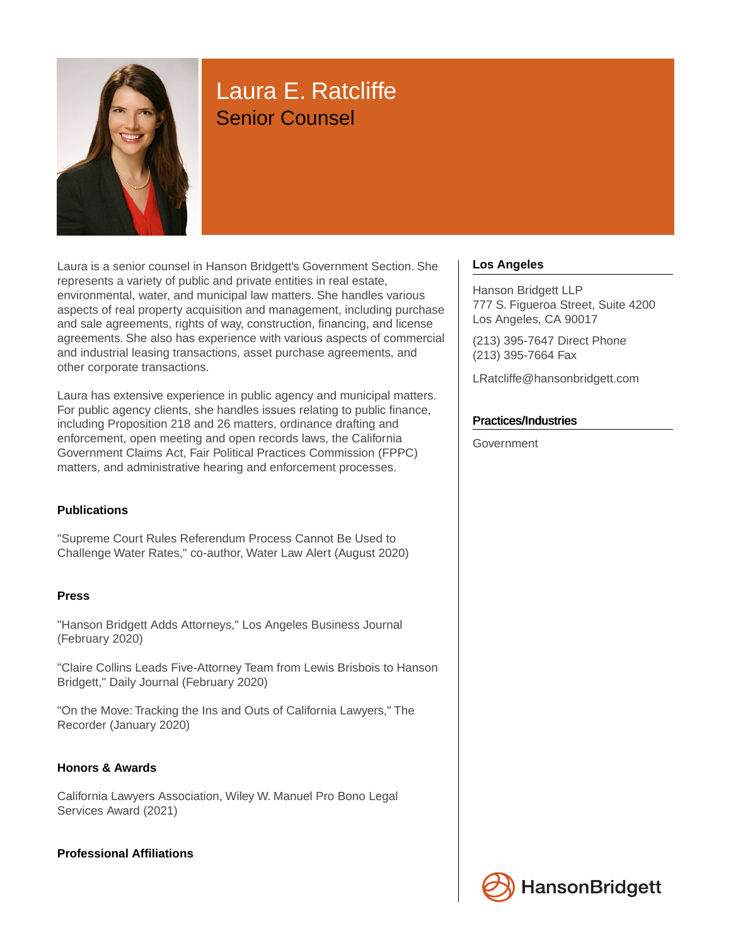

# Laura E. Ratcliffe Senior Counsel

Laura is a senior counsel in Hanson Bridgett's Government Section. She represents a variety of public and private entities in real estate, environmental, water, and municipal law matters. She handles various aspects of real property acquisition and management, including purchase and sale agreements, rights of way, construction, financing, and license agreements. She also has experience with various aspects of commercial and industrial leasing transactions, asset purchase agreements, and other corporate transactions.

Laura has extensive experience in public agency and municipal matters. For public agency clients, she handles issues relating to public finance, including Proposition 218 and 26 matters, ordinance drafting and enforcement, open meeting and open records laws, the California Government Claims Act, Fair Political Practices Commission (FPPC) matters, and administrative hearing and enforcement processes.

#### **Publications**

"Supreme Court Rules Referendum Process Cannot Be Used to Challenge Water Rates," co-author, Water Law Alert (August 2020)

#### **Press**

"Hanson Bridgett Adds Attorneys," Los Angeles Business Journal (February 2020)

"Claire Collins Leads Five-Attorney Team from Lewis Brisbois to Hanson Bridgett," Daily Journal (February 2020)

"On the Move: Tracking the Ins and Outs of California Lawyers," The Recorder (January 2020)

#### **Honors & Awards**

California Lawyers Association, Wiley W. Manuel Pro Bono Legal Services Award (2021)

#### **Professional Affiliations**

#### **Los Angeles**

Hanson Bridgett LLP 777 S. Figueroa Street, Suite 4200 Los Angeles, CA 90017

(213) 395-7647 Direct Phone (213) 395-7664 Fax

LRatcliffe@hansonbridgett.com

#### Practices/Industries

Government



**HansonBridgett**